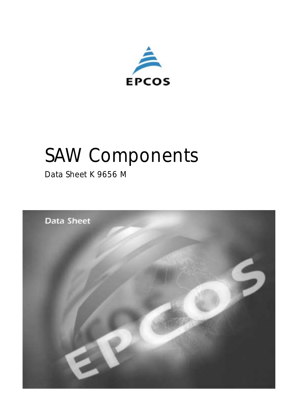

# *SAW Components*

*Data Sheet K 9656 M*

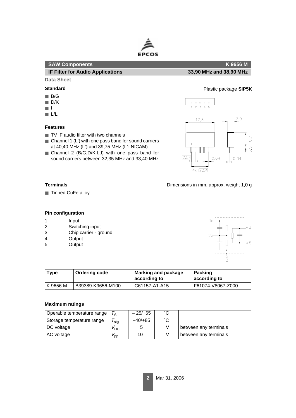

#### **SAW Components K 9656 M**

#### **IF Filter for Audio Applications 33,90 MHz and 38,90 MHz**

#### **Data Sheet**

- B/G
- D/K
- I
- L/L'

#### **Features**

- TV IF audio filter with two channels
- $\blacksquare$  Channel 1 (L') with one pass band for sound carriers at 40,40 MHz (L') and 39,75 MHz (L'- NICAM)
- Channel 2 (B/G, D/K, L, I) with one pass band for sound carriers between 32,35 MHz and 33,40 MHz

# **Standard** Plastic package **SIP5K**



Dimensions in mm, approx. weight 1,0 g

#### **Terminals**

■ Tinned CuFe alloy

#### **Pin configuration**

- 1 Input
- 2 Switching input
- 3 Chip carrier ground
- 4 Output
- 5 Output



| Type     | <b>Ordering code</b> | <b>Marking and package</b><br>according to | <b>Packing</b><br>according to |  |  |
|----------|----------------------|--------------------------------------------|--------------------------------|--|--|
| K 9656 M | B39389-K9656-M100    | C61157-A1-A15                              | F61074-V8067-Z000              |  |  |

#### **Maximum ratings**

| Operable temperature range |                 | $-25/+65$ | °С |                       |
|----------------------------|-----------------|-----------|----|-----------------------|
| Storage temperature range  | stg             | $-40/+85$ | °С |                       |
| DC voltage                 | $V^{}_{\rm DC}$ | 5         |    | between any terminals |
| AC voltage                 | 'pp             | 10        |    | between any terminals |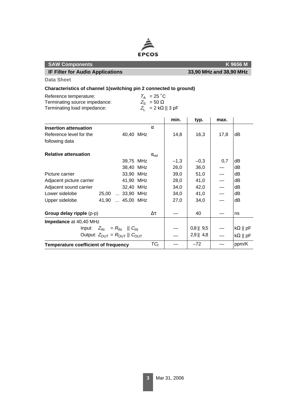

| <b>IF Filter for Audio Applications</b>                                                                                                                           |                                                             |  |                       | 33,90 MHz and 38,90 MHz |              |                          |                        |
|-------------------------------------------------------------------------------------------------------------------------------------------------------------------|-------------------------------------------------------------|--|-----------------------|-------------------------|--------------|--------------------------|------------------------|
| <b>Data Sheet</b>                                                                                                                                                 |                                                             |  |                       |                         |              |                          |                        |
| Characteristics of channel 1(switching pin 2 connected to ground)                                                                                                 |                                                             |  |                       |                         |              |                          |                        |
| $T_A$ = 25 °C<br>Reference temperature:<br>Terminating source impedance:<br>$Z_{\rm S}$ = 50 $\Omega$<br>$Z_1 = 2 k\Omega    3 pF$<br>Terminating load impedance: |                                                             |  |                       |                         |              |                          |                        |
|                                                                                                                                                                   |                                                             |  |                       | min.                    | typ.         | max.                     |                        |
| <b>Insertion attenuation</b>                                                                                                                                      |                                                             |  | $\alpha$              |                         |              |                          |                        |
| Reference level for the                                                                                                                                           | 40,40 MHz                                                   |  |                       | 14,8                    | 16,3         | 17,8                     | dB                     |
| following data                                                                                                                                                    |                                                             |  |                       |                         |              |                          |                        |
| <b>Relative attenuation</b>                                                                                                                                       |                                                             |  | $\alpha_{\text{rel}}$ |                         |              |                          |                        |
|                                                                                                                                                                   | 39,75 MHz                                                   |  |                       | $-1,3$                  | $-0,3$       | 0,7                      | dB                     |
|                                                                                                                                                                   | 38,40 MHz                                                   |  |                       | 26,0                    | 36,0         |                          | dB                     |
| Picture carrier                                                                                                                                                   | 33,90 MHz                                                   |  |                       | 39,0                    | 51,0         | $\qquad \qquad$          | dB                     |
| Adjacent picture carrier                                                                                                                                          | 41,90 MHz                                                   |  |                       | 28,0                    | 41,0         | $\overline{\phantom{0}}$ | dB                     |
| Adjacent sound carrier                                                                                                                                            | 32,40 MHz                                                   |  |                       | 34,0                    | 42,0         |                          | dB                     |
| Lower sidelobe                                                                                                                                                    | 25,00  33,90 MHz                                            |  |                       | 34,0                    | 41,0         |                          | dB                     |
| Upper sidelobe                                                                                                                                                    | 41,90  45,00 MHz                                            |  |                       | 27,0                    | 34,0         |                          | dB                     |
| Group delay ripple (p-p)                                                                                                                                          |                                                             |  | $\Delta \tau$         |                         | 40           |                          | ns                     |
| Impedance at 40,40 MHz                                                                                                                                            |                                                             |  |                       |                         |              |                          |                        |
|                                                                                                                                                                   | Input: $Z_{\text{IN}} = R_{\text{IN}}$    $C_{\text{IN}}$   |  |                       |                         | $0,8$    9,5 |                          | $k\Omega \parallel pF$ |
|                                                                                                                                                                   | Output: $Z_{\text{OUT}} = R_{\text{OUT}}    C_{\text{OUT}}$ |  |                       |                         | $2,9$    4,8 |                          | $k\Omega \parallel pF$ |

**Temperature coefficient of frequency** TC<sup>f</sup> — –72 — ppm/K

| Reference temperature:        | $T_{\text{A}}$ = 25 °C    |
|-------------------------------|---------------------------|
| Terminating source impedance: | $Z_{\rm e} = 50 \Omega$   |
| Terminating load impedance:   | $Z_1 = 2 k\Omega    3 pF$ |

**SAW Components K 9656 M**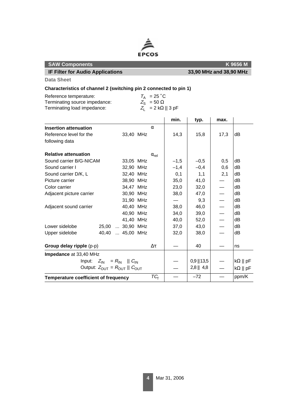

### **SAW Components** K 9656 M **IF Filter for Audio Applications 33,90 MHz and 38,90 MHz**

**Data Sheet**

## **Characteristics of channel 2 (switching pin 2 connected to pin 1)**

| Reference temperature:        | $T_{\text{A}}$ = 25 °C    |
|-------------------------------|---------------------------|
| Terminating source impedance: | $Z_{\rm e} = 50 \Omega$   |
| Terminating load impedance:   | $Z_1 = 2 k\Omega    3 pF$ |

|                                                           |  |                                                             |               |                       | min.          | typ.        | max.                   |                        |
|-----------------------------------------------------------|--|-------------------------------------------------------------|---------------|-----------------------|---------------|-------------|------------------------|------------------------|
| <b>Insertion attenuation</b>                              |  |                                                             |               | $\alpha$              |               |             |                        |                        |
| Reference level for the                                   |  | 33,40 MHz                                                   |               |                       | 14,3          | 15,8        | 17,3                   | dB                     |
| following data                                            |  |                                                             |               |                       |               |             |                        |                        |
| <b>Relative attenuation</b>                               |  |                                                             |               | $\alpha_{\text{rel}}$ |               |             |                        |                        |
| Sound carrier B/G-NICAM                                   |  | 33,05 MHz                                                   |               |                       | $-1,5$        | $-0,5$      | 0,5                    | dB                     |
| Sound carrier I                                           |  | 32,90 MHz                                                   |               |                       | $-1,4$        | $-0,4$      | 0,6                    | dВ                     |
| Sound carrier D/K, L                                      |  | 32,40 MHz                                                   |               |                       | 0,1           | 1,1         | 2,1                    | dB                     |
| Picture carrier                                           |  | 38.90 MHz                                                   |               |                       | 35,0          | 41,0        |                        | dB                     |
| Color carrier                                             |  | 34.47 MHz                                                   |               |                       | 23,0          | 32,0        |                        | dB                     |
| Adjacent picture carrier                                  |  | 30,90 MHz                                                   |               |                       | 38,0          | 47,0        |                        | dВ                     |
|                                                           |  | 31,90 MHz                                                   |               |                       |               | 9,3         |                        | dВ                     |
| Adjacent sound carrier                                    |  | 40.40 MHz                                                   |               |                       | 38,0          | 46,0        |                        | dВ                     |
|                                                           |  | 40,90 MHz                                                   |               |                       | 34,0          | 39,0        |                        | dB                     |
|                                                           |  | 41,40 MHz                                                   |               |                       | 40,0          | 52,0        |                        | dВ                     |
| Lower sidelobe                                            |  | 25,00  30,90 MHz                                            |               |                       | 37,0          | 43,0        |                        | dВ                     |
| Upper sidelobe                                            |  | 40,40  45,00 MHz                                            |               |                       | 32,0          | 38,0        |                        | dB                     |
| Group delay ripple (p-p)                                  |  |                                                             | $\Delta \tau$ |                       | 40            |             | ns                     |                        |
| Impedance at 33,40 MHz                                    |  |                                                             |               |                       |               |             |                        |                        |
| Input: $Z_{\text{IN}} = R_{\text{IN}}$    $C_{\text{IN}}$ |  |                                                             |               |                       | $0,9$    13,5 |             | $k\Omega \parallel pF$ |                        |
|                                                           |  | Output: $Z_{\text{OUT}} = R_{\text{OUT}}    C_{\text{OUT}}$ |               |                       |               | $2,8$   4,8 |                        | $k\Omega \parallel pF$ |
| Temperature coefficient of frequency                      |  |                                                             | $TC_f$        |                       | $-72$         |             | ppm/K                  |                        |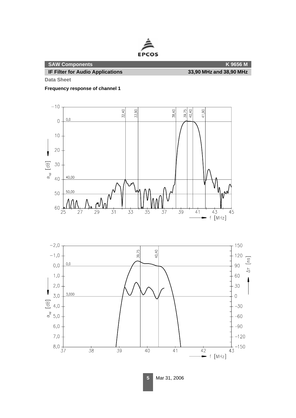

**Data Sheet**

**Frequency response of channel 1**





**5** Mar 31, 2006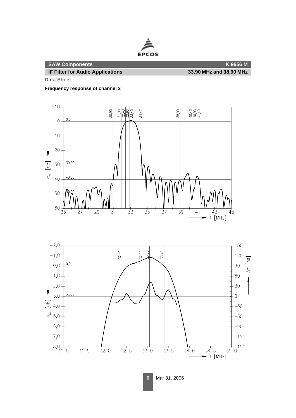

**Data Sheet**

**Frequency response of channel 2**





**6** Mar 31, 2006